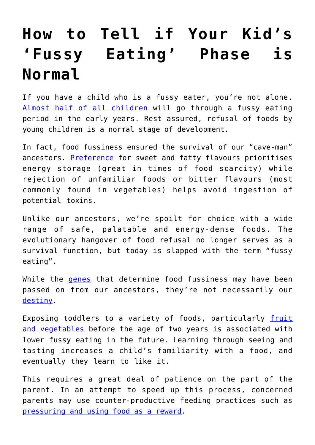## **[How to Tell if Your Kid's](https://intellectualtakeout.org/2018/05/how-to-tell-if-your-kids-fussy-eating-phase-is-normal/) ['Fussy Eating' Phase is](https://intellectualtakeout.org/2018/05/how-to-tell-if-your-kids-fussy-eating-phase-is-normal/) [Normal](https://intellectualtakeout.org/2018/05/how-to-tell-if-your-kids-fussy-eating-phase-is-normal/)**

If you have a child who is a fussy eater, you're not alone. [Almost half of all children](http://onlinelibrary.wiley.com/doi/10.1002/eat.22384/abstract) will go through a fussy eating period in the early years. Rest assured, refusal of foods by young children is a normal stage of development.

In fact, food fussiness ensured the survival of our "cave-man" ancestors. [Preference](https://www.ncbi.nlm.nih.gov/pubmed/28205158) for sweet and fatty flavours prioritises energy storage (great in times of food scarcity) while rejection of unfamiliar foods or bitter flavours (most commonly found in vegetables) helps avoid ingestion of potential toxins.

Unlike our ancestors, we're spoilt for choice with a wide range of safe, palatable and energy-dense foods. The evolutionary hangover of food refusal no longer serves as a survival function, but today is slapped with the term "fussy eating".

While the *[genes](http://onlinelibrary.wiley.com/wol1/doi/10.1111/jcpp.12647/abstract)* that determine food fussiness may have been passed on from our ancestors, they're not necessarily our [destiny](https://theconversation.com/why-it-is-useful-to-understand-the-role-of-genetics-in-behaviour-67502).

Exposing toddlers to a variety of foods, particularly [fruit](http://dx.doi.org/10.1016/j.jand.2015.06.006) [and vegetables](http://dx.doi.org/10.1016/j.jand.2015.06.006) before the age of two years is associated with lower fussy eating in the future. Learning through seeing and tasting increases a child's familiarity with a food, and eventually they learn to like it.

This requires a great deal of patience on the part of the parent. In an attempt to speed up this process, concerned parents may use counter-productive feeding practices such as [pressuring and using food as a reward](https://doi.org/10.1186/s12966-016-0408-4).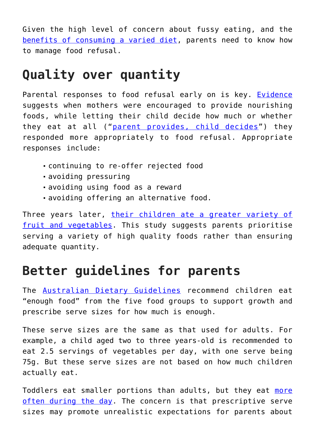Given the high level of concern about fussy eating, and the [benefits of consuming a varied diet](https://www.eatforhealth.gov.au/sites/default/files/content/n55_australian_dietary_guidelines.pdf), parents need to know how to manage food refusal.

## **Quality over quantity**

Parental responses to food refusal early on is key. [Evidence](http://pediatrics.aappublications.org/content/136/1/e40) suggests when mothers were encouraged to provide nourishing foods, while letting their child decide how much or whether they eat at all ("[parent provides, child decides"](https://www.ellynsatterinstitute.org/how-to-feed/the-division-of-responsibility-in-feeding)) they responded more appropriately to food refusal. Appropriate responses include:

- continuing to re-offer rejected food
- avoiding pressuring
- avoiding using food as a reward
- avoiding offering an alternative food.

Three years later, [their children ate a greater variety of](http://onlinelibrary.wiley.com/doi/10.1002/oby.21498/abstract) [fruit and vegetables](http://onlinelibrary.wiley.com/doi/10.1002/oby.21498/abstract). This study suggests parents prioritise serving a variety of high quality foods rather than ensuring adequate quantity.

## **Better guidelines for parents**

The [Australian Dietary Guidelines](https://www.eatforhealth.gov.au/sites/default/files/content/n55_australian_dietary_guidelines.pdf) recommend children eat "enough food" from the five food groups to support growth and prescribe serve sizes for how much is enough.

These serve sizes are the same as that used for adults. For example, a child aged two to three years-old is recommended to eat 2.5 servings of vegetables per day, with one serve being 75g. But these serve sizes are not based on how much children actually eat.

Toddlers eat smaller portions than adults, but they eat [more](http://onlinelibrary.wiley.com/doi/10.1111/1753-6405.12622/full) [often during the day.](http://onlinelibrary.wiley.com/doi/10.1111/1753-6405.12622/full) The concern is that prescriptive serve sizes may promote unrealistic expectations for parents about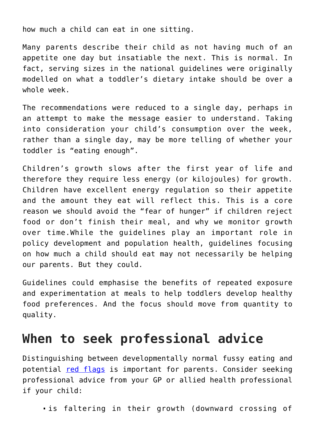how much a child can eat in one sitting.

Many parents describe their child as not having much of an appetite one day but insatiable the next. This is normal. In fact, serving sizes in the national guidelines were originally modelled on what a toddler's dietary intake should be over a whole week.

The recommendations were reduced to a single day, perhaps in an attempt to make the message easier to understand. Taking into consideration your child's consumption over the week, rather than a single day, may be more telling of whether your toddler is "eating enough".

Children's growth slows after the first year of life and therefore they require less energy (or kilojoules) for growth. Children have excellent energy regulation so their appetite and the amount they eat will reflect this. This is a core reason we should avoid the "fear of hunger" if children reject food or don't finish their meal, and why we monitor growth over time.While the guidelines play an important role in policy development and population health, guidelines focusing on how much a child should eat may not necessarily be helping our parents. But they could.

Guidelines could emphasise the benefits of repeated exposure and experimentation at meals to help toddlers develop healthy food preferences. And the focus should move from quantity to quality.

## **When to seek professional advice**

Distinguishing between developmentally normal fussy eating and potential [red flags](https://sosapproach-conferences.com/resources/red-flags/) is important for parents. Consider seeking professional advice from your GP or allied health professional if your child:

is faltering in their growth (downward crossing of